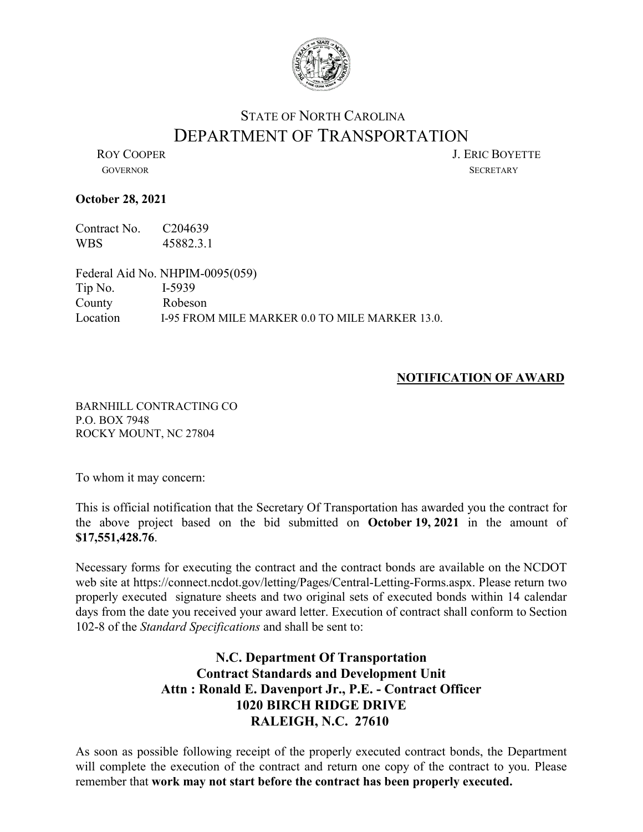

## STATE OF NORTH CAROLINA DEPARTMENT OF TRANSPORTATION<br>LERIC BOYETTE

GOVERNOR SECRETARY

## **October 28, 2021**

Contract No. C204639 WBS 45882.3.1

Federal Aid No. NHPIM-0095(059) Tip No. I-5939 County Robeson Location I-95 FROM MILE MARKER 0.0 TO MILE MARKER 13.0.

## **NOTIFICATION OF AWARD**

BARNHILL CONTRACTING CO P.O. BOX 7948 ROCKY MOUNT, NC 27804

To whom it may concern:

This is official notification that the Secretary Of Transportation has awarded you the contract for the above project based on the bid submitted on **October 19, 2021** in the amount of **\$17,551,428.76**.

Necessary forms for executing the contract and the contract bonds are available on the NCDOT web site at https://connect.ncdot.gov/letting/Pages/Central-Letting-Forms.aspx. Please return two properly executed signature sheets and two original sets of executed bonds within 14 calendar days from the date you received your award letter. Execution of contract shall conform to Section 102-8 of the *Standard Specifications* and shall be sent to:

## **N.C. Department Of Transportation Contract Standards and Development Unit Attn : Ronald E. Davenport Jr., P.E. - Contract Officer 1020 BIRCH RIDGE DRIVE RALEIGH, N.C. 27610**

As soon as possible following receipt of the properly executed contract bonds, the Department will complete the execution of the contract and return one copy of the contract to you. Please remember that **work may not start before the contract has been properly executed.**